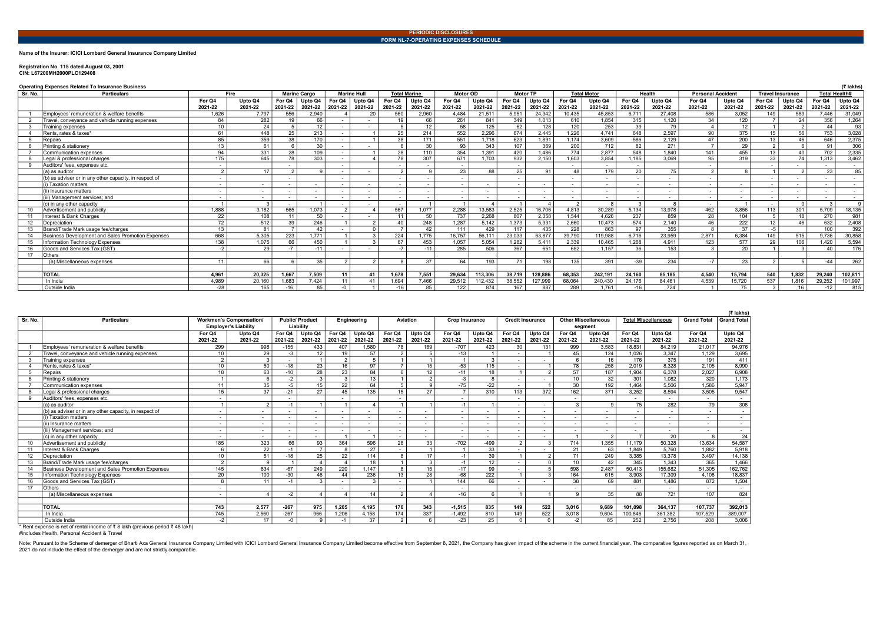Name of the Insurer: ICICI Lombard General Insurance Company Limited

## Registration No. 115 dated August 03, 2001 CIN: L67200MH2000PLC129408

Operating Expenses Related To Insurance Business

| Sr. No.<br><b>Particulars</b>                            |                          | Fire                     |         | <b>Marine Cargo</b> |                          | <b>Marine Hull</b> | <b>Total Marine</b> |                          | <b>Motor OD</b>          |         | <b>Motor TP</b>          |         |                  | <b>Total Motor</b> |         | Health                   | <b>Personal Accident</b> |                          |                  | <b>Travel Insurance</b>  |                          | <b>Total Health#</b> |
|----------------------------------------------------------|--------------------------|--------------------------|---------|---------------------|--------------------------|--------------------|---------------------|--------------------------|--------------------------|---------|--------------------------|---------|------------------|--------------------|---------|--------------------------|--------------------------|--------------------------|------------------|--------------------------|--------------------------|----------------------|
|                                                          | For Q4                   | Upto Q4                  | For Q4  | Upto Q4             | For Q4                   | Upto Q4            | For Q4              | Upto Q4                  | For Q4                   | Upto Q4 | For Q4                   | Upto Q4 | For Q4           | Upto Q4            | For Q4  | Upto Q4                  | For Q4                   | Upto Q4                  | For Q4           | Upto Q4                  | For Q4                   | Upto Q4              |
|                                                          | 2021-22                  | 2021-22                  | 2021-22 | 2021-22             | 2021-22                  | 2021-22            | 2021-22             | 2021-22                  | 2021-22                  | 2021-22 | 2021-22                  | 2021-22 | 2021-22          | 2021-22            | 2021-22 | 2021-22                  | 2021-22                  | 2021-22                  | 2021-22          | 2021-22                  | 2021-22                  | 2021-22              |
| Employees' remuneration & welfare benefits               | 1,626                    | 7,797                    | 556     | 2,940               |                          | 20                 | 560                 | 2,960                    | 4,484                    | 21,511  | 5.951                    | 24,342  | 10.435           | 45.853             | 6.711   | 27.408                   | 586                      | 3,052                    | 149              | 589                      | 7.446                    | 31,049               |
| Travel, convevance and vehicle running expenses          | 84                       | 282                      | 19      | 66                  |                          |                    | 19                  | 66                       | 261                      | 841     | 349                      | 1.013   | 610              | 1.854              | 315     | 1.120                    | 34                       | 120                      |                  | 24                       | 356                      | 1,264                |
| Training expenses                                        | 10 <sup>1</sup>          | 24                       |         | 12                  |                          |                    |                     | 12                       | 58                       | 125     | 62                       | 128     | 120              | 253                | 39      | 79                       |                          | 12                       |                  | ົ                        | 44                       | 93                   |
| Rents, rates & taxes*                                    | 61                       | 448                      | 25      | 213                 |                          |                    | 25                  | 214                      | 552                      | 2.296   | 674                      | 2.445   | 1.226            | 4.741              | 648     | 2,597                    | 90                       | 375                      | 15               | 56                       | 753                      | 3,028                |
| Repairs                                                  | 85                       | 359                      | 38      | 170                 |                          |                    | 38                  | 171                      | 551                      | 1.718   | 623                      | 1.891   | 1.174            | 3.609              | 586     | 2.129                    | 47                       | $\overline{200}$         | 13 <sup>13</sup> | 46                       | 646                      | 2.375                |
| Printing & stationerv                                    | 13 <sup>1</sup>          | 61                       |         | 30                  |                          |                    |                     | 30                       | 93                       | 343     | 107                      | 369     | 200              | 712                | 82      | 271                      |                          | 29                       |                  |                          | Q <sub>1</sub>           | 306                  |
| Communication expenses                                   | 94                       | 331                      | 28      | 109                 |                          |                    | 28                  | 110                      | 354                      | 1.391   | 420                      | 1.486   | 774              | 2.877              | 548     | 1.840                    | 141                      | 455                      | 13 <sup>13</sup> | 40                       | 702                      | 2,335                |
| Legal & professional charges                             | 175                      | 645                      | 78      | 303                 |                          |                    | 78                  | 307                      | 671                      | 1.703   | 932                      | 2,150   | 1.603            | 3,854              | 1.185   | 3.069                    | 95                       | 319                      | 33               | 74                       | 1,313                    | 3,462                |
| Auditors' fees, expenses etc.                            | $\overline{\phantom{a}}$ |                          |         |                     |                          |                    |                     | $\overline{\phantom{a}}$ | $\sim$                   |         | $\overline{\phantom{a}}$ |         | $\sim$           | $\sim$             |         |                          |                          |                          |                  | $\overline{\phantom{a}}$ | $\overline{\phantom{a}}$ | $\sim$               |
| (a) as auditor                                           | ົ                        | 17                       |         |                     |                          | $\sim$             | $\sim$              | $\Omega$                 | 23                       | 88      | 25                       | 91      | 48               | 179                | 20      | 75                       | $\mathcal{P}$            |                          |                  |                          | 23                       | 85                   |
| (b) as adviser or in any other capacity, in respect of   |                          |                          |         |                     | $\overline{\phantom{a}}$ |                    |                     | $\overline{\phantom{a}}$ | $\overline{\phantom{a}}$ |         | $\overline{\phantom{a}}$ |         | $\sim$           | $\sim$             |         | $\overline{\phantom{a}}$ |                          |                          |                  |                          | $\overline{\phantom{a}}$ | $\sim$               |
| i) Taxation matters                                      | $\overline{\phantom{a}}$ | $\overline{\phantom{a}}$ |         | $\sim$              |                          | $\sim$             |                     | $\overline{\phantom{a}}$ | $\sim$                   | $\sim$  | $\overline{\phantom{a}}$ | $\sim$  | $\sim$           | $\sim$             |         | $\overline{\phantom{a}}$ |                          | $\overline{\phantom{a}}$ |                  | $\overline{\phantom{a}}$ | $\overline{\phantom{a}}$ | $\sim$               |
| (ii) Insurance matters                                   |                          | $\overline{\phantom{a}}$ |         | $\sim$              |                          | $\sim$             |                     | $\overline{\phantom{a}}$ | $\overline{\phantom{a}}$ |         | $\sim$                   |         | $\sim$           | $\sim$             |         | $\overline{\phantom{a}}$ |                          | $\overline{\phantom{a}}$ |                  | $\sim$                   | $\overline{\phantom{a}}$ | $\sim$ 100 $\mu$     |
| (iii) Management services: and                           | $\overline{\phantom{a}}$ | $\overline{\phantom{0}}$ |         |                     |                          | $\sim$             |                     | $\overline{\phantom{a}}$ | $\overline{\phantom{a}}$ |         | $\sim$                   |         |                  | $\sim$             |         | $\overline{\phantom{a}}$ |                          | $\overline{\phantom{a}}$ |                  |                          | $\overline{\phantom{a}}$ | $\sim$               |
| $(c)$ in any other capacity                              |                          |                          |         |                     |                          | $\sim$             |                     |                          |                          |         |                          |         | ົາ               |                    |         |                          |                          |                          |                  | $\Omega$                 |                          |                      |
| Advertisement and publicity                              | 1,888                    | 3,182                    | 565     | 1,073               | $\Omega$                 |                    | 567                 | 1.077                    | 2,288                    | 13,583  | 2,525                    | 16,706  | 4.813            | 30,289             | 5,134   | 13,978                   | 462                      | 3,856                    | 113              | 301                      | 5,709                    | 18,135               |
| Interest & Bank Charges                                  | 22                       | 108                      | 11      | 50                  |                          |                    |                     | 50                       | 737                      | 2.268   | 807                      | 2.358   | 1.544            | 4.626              | 237     | 859                      | $\overline{28}$          | 104                      |                  | 18                       | 270                      | 981                  |
| Depreciation                                             | $\overline{72}$          | 512                      | 39      | $\overline{246}$    |                          | $\sim$             | 40                  | 248                      | 1.287                    | 5.142   | 1,373                    | 5,331   | 2.660            | 10.473             | 574     | 2,140                    | 46                       | 222                      | 12               | 46                       | 632                      | 2,408                |
| Brand/Trade Mark usage fee/charges                       | 13                       | 81                       |         | 42                  |                          |                    |                     | 42                       | 111                      | 429     | 117                      | 435     | $\overline{228}$ | 863                | 97      | 355                      |                          | $\overline{37}$          | $-5^{\circ}$     |                          | 100                      | 392                  |
| <b>Business Development and Sales Promotion Expenses</b> | 668                      | 5,305                    | 223     | 1.771               |                          |                    | 224                 | .775                     | 16.757                   | 56,111  | 23,033                   | 63,877  | 39.790           | 119,988            | 6.716   | 23,959                   | 2.871                    | 6,384                    | 149              | 515                      | 9,736                    | 30,858               |
| nformation Technology Expenses                           | 138                      | 1.075                    | 66      | 450                 |                          |                    | 67                  | 453                      | 1.057                    | 5.054   | 1.282                    | 5.411   | 2.339            | 10.465             | 1.268   | 4.911                    | 123                      | 577                      | 29               | 106                      | 1.420                    | 5,594                |
| Goods and Services Tax (GST)<br>16                       | $-2$                     | 29                       |         | $-11$               |                          |                    |                     | $-11$                    | 285                      | 506     | 367                      | 651     | 652              | 1.157              | 36      | 153                      |                          | 20                       |                  |                          | 40                       | 176                  |
| 17<br>Others                                             |                          |                          |         |                     |                          |                    |                     |                          |                          |         |                          |         |                  |                    |         |                          |                          |                          |                  |                          |                          |                      |
| (a) Miscellaneous expenses                               |                          | 66                       |         | 35                  |                          | n                  |                     | 37                       | 64                       | 193     | 71                       | 198     | 135              | 391                | $-39$   | 234                      |                          | 23                       |                  |                          | $-44$                    | 262                  |
|                                                          |                          |                          |         |                     |                          |                    |                     |                          |                          |         |                          |         |                  |                    |         |                          |                          |                          |                  |                          |                          |                      |
| <b>TOTAL</b>                                             | 4,961                    | 20,325                   | 1,667   | 7,509               | 11                       | 41                 | 1,678               | 7,551                    | 29,634                   | 113,306 | 38,719                   | 128,886 | 68,353           | 242,191            | 24,160  | 85,185                   | 4,540                    | 15,794                   | 540              | 1,832                    | 29,240                   | 102,811              |
| In India                                                 | 4,989                    | 20,160                   | 1,683   | 7,424               | 11                       | 41                 | 1,694               | 7,466                    | 29,512                   | 112,432 | 38,552                   | 127,999 | 68,064           | 240,430            | 24,176  | 84,461                   | 4.539                    | 15,720                   | 537              | 1,816                    | 29,252                   | 101,997              |
| Outside India                                            | $-28$                    | 165                      | -16     | 85                  |                          |                    | -16                 | 85                       | 122                      | 874     | 167                      | 887     | 289              | 1.761              | $-16$   | 724                      |                          | 75                       |                  | 16                       | $-12$                    | 815                  |

Note: Pursuant to the Scheme of demerger of Bharti Axa General Insurance Company Limited with ICICI Lombard General Insurance Company Limited become effective from September 8, 2021, the Company has given impact of the sch 2021 do not include the effect of the demerger and are not strictly comparable.

| (₹ lakhs) |
|-----------|
|           |

|         |                                                       |                             |                                |                          |                       |                          |                          |                          |                          |                          |                  |                          |                          |                 |                            |                          |                            |                    | (₹ lakhs)                |
|---------|-------------------------------------------------------|-----------------------------|--------------------------------|--------------------------|-----------------------|--------------------------|--------------------------|--------------------------|--------------------------|--------------------------|------------------|--------------------------|--------------------------|-----------------|----------------------------|--------------------------|----------------------------|--------------------|--------------------------|
| Sr. No. | <b>Particulars</b>                                    |                             | <b>Workmen's Compensation/</b> |                          | <b>Public/Product</b> |                          | Engineering              | <b>Aviation</b>          |                          | <b>Crop Insurance</b>    |                  | <b>Credit Insurance</b>  |                          |                 | <b>Other Miscellaneous</b> |                          | <b>Total Miscellaneous</b> | <b>Grand Total</b> | <b>Grand Total</b>       |
|         |                                                       | <b>Employer's Liability</b> |                                | Liability                |                       |                          |                          |                          |                          |                          |                  |                          |                          |                 | segment                    |                          |                            |                    |                          |
|         |                                                       | For Q4                      | Upto Q4                        | For Q4                   | Upto Q4               | For Q4                   | Upto Q4                  | For Q4                   | Upto Q4                  | For Q4                   | Upto Q4          | For Q4                   | Upto Q4                  | For Q4          | Upto Q4                    | For Q4                   | Upto Q4                    | For Q4             | Upto Q4                  |
|         |                                                       | 2021-22                     | 2021-22                        | 2021-22                  | 2021-22               | 2021-22                  | 2021-22                  | 2021-22                  | 2021-22                  | 2021-22                  | 2021-22          | 2021-22                  | 2021-22                  | 2021-22         | 2021-22                    | 2021-22                  | 2021-22                    | 2021-22            | 2021-22                  |
|         | Employees' remuneration & welfare benefits            | 299                         | 998                            | $-155$                   | 433                   | 407                      | 1,580                    | 78                       | 169                      | $-707$                   | 423              | 30                       | 131                      | 999             | 3,583                      | 18,831                   | 84,219                     | 21.017             | 94,976                   |
|         | Travel, conveyance and vehicle running expenses       | 10                          | 29                             | $-3$                     | 12                    | 19                       | 57                       | 2                        | 5                        | $-13$                    |                  |                          |                          | 45              | 124                        | 1,026                    | 3,347                      | 1,129              | 3,695                    |
| 3       | Training expenses                                     | $\Omega$                    | $\mathbf{3}$                   | $\overline{\phantom{a}}$ |                       | 2                        | 5                        | $\overline{1}$           | $\overline{1}$           |                          | $\overline{3}$   |                          | $\sim$                   | 6               | 16                         | 176                      | 375                        | 191                | 411                      |
|         | Rents, rates & taxes*                                 | 10                          | 50                             | $-18$                    | 23                    | 16                       | 97                       | $\overline{7}$           | 15                       | $-53$                    | 115              |                          | $\overline{1}$           | $\overline{78}$ | 258                        | 2,019                    | 8,328                      | 2.105              | 8,990                    |
| -5      | Repairs                                               | 18                          | 63                             | $-10$                    | 28                    | 23                       | 84                       | 6                        | 12 <sup>2</sup>          | $-11$                    | 18               |                          | $\overline{2}$           | 57              | 187                        | 1.904                    | 6.378                      | 2.027              | 6,908                    |
|         | Printing & stationery                                 |                             |                                | $-2$                     |                       | 3                        | 13                       | $\overline{1}$           | 2                        | $-3$                     | 8                |                          |                          | 10              | 32                         | 301                      | 1,082                      | 320                | 1,173                    |
|         | <b>Communication expenses</b>                         | 11                          | 35                             | -5                       | 15                    | $\overline{22}$          | 64                       | $5^{\circ}$              | 9                        | $-75$                    | $-22$            |                          |                          | 30              | $\overline{192}$           | 1.464                    | 5.506                      | 1,586              | 5,947                    |
|         | Legal & professional charges                          | 15                          | 37                             | $-21$                    | 27                    | 45                       | 135                      | 15                       | 27                       | $\overline{7}$           | 310              | 113                      | $\overline{372}$         | 162             | 371                        | 3.252                    | 8.594                      | 3,505              | 9,547                    |
|         | Auditors' fees, expenses etc.                         |                             |                                | $\overline{\phantom{0}}$ |                       |                          |                          | $\overline{\phantom{a}}$ |                          | $\overline{\phantom{a}}$ |                  |                          |                          |                 |                            | $\sim$                   | $\sim$                     | $\sim$             | $\sim$                   |
|         | (a) as auditor                                        |                             | 2                              | $-1$                     |                       |                          |                          | $\overline{1}$           |                          | $-1$                     |                  | $\overline{\phantom{0}}$ | $\overline{\phantom{a}}$ | 3               | 9                          | 75                       | 282                        | 79                 | 308                      |
|         | b) as adviser or in any other capacity, in respect of |                             | $\overline{\phantom{a}}$       | $\overline{\phantom{a}}$ | $\sim$                |                          |                          | $\overline{\phantom{a}}$ | $\sim$                   | $\overline{\phantom{0}}$ | $\sim$           |                          | $\overline{\phantom{a}}$ |                 | $\sim$                     | $\overline{\phantom{a}}$ | $\overline{\phantom{a}}$   |                    | $\overline{\phantom{a}}$ |
|         | ) Taxation matters                                    | $\overline{\phantom{a}}$    | $\overline{\phantom{a}}$       | $\overline{\phantom{a}}$ | $\sim$                | $\overline{\phantom{a}}$ |                          | $\overline{\phantom{a}}$ | $\sim$                   | $\overline{\phantom{a}}$ | $\sim$           |                          | ٠                        |                 | $\sim$                     | $\overline{\phantom{a}}$ | $\overline{\phantom{a}}$   | $\sim$             | $\sim$                   |
|         | (ii) Insurance matters                                |                             | $\sim$                         | $\overline{\phantom{a}}$ | $\sim$                | $\overline{\phantom{a}}$ | $\overline{\phantom{a}}$ | $\overline{\phantom{a}}$ | $\sim$                   | $\overline{\phantom{a}}$ | $\sim$           |                          | $\overline{\phantom{a}}$ | $\sim$          | $\sim$                     | $\overline{a}$           | $\sim$                     | $\sim$             | $\sim$                   |
|         | iii) Management services: and                         | $\overline{\phantom{a}}$    | $\overline{\phantom{a}}$       | $\overline{\phantom{a}}$ | $\sim$                | $\overline{\phantom{0}}$ | $\overline{\phantom{a}}$ | ٠                        | $\overline{\phantom{0}}$ | $\overline{\phantom{a}}$ | $\sim$           | $\overline{\phantom{0}}$ | ٠                        | $\sim$          | $\sim$                     | $\overline{\phantom{a}}$ | ٠                          | $\sim$             | $\sim$                   |
|         | (c) in anv other capacitv                             | $\overline{\phantom{a}}$    | $\sim$                         | $\overline{\phantom{a}}$ | $\sim$                |                          |                          | $\sim$                   |                          | $\sim$                   | $\sim$           |                          | $\overline{\phantom{a}}$ |                 | 2                          | $\overline{z}$           | 20                         |                    | 24                       |
|         | Advertisement and publicity                           | 185                         | 323                            | 66                       | 93                    | 364                      | 596                      | 28                       | 33                       | $-702$                   | $-499$           | 2                        | $\mathbf{3}$             | 714             | 1,355                      | 11.179                   | 50.328                     | 13.634             | 54,587                   |
| 11      | Interest & Bank Charges                               |                             | 22                             | $-1$                     |                       | 8                        | $\overline{27}$          | $\sim$                   | $\overline{1}$           |                          | 33               |                          | $\overline{\phantom{a}}$ | 21              | 63                         | 1.849                    | 5.760                      | 1.882              | 5,918                    |
| 12      | Depreciation                                          | 10                          | 51                             | $-18$                    | 25                    | 22                       | 114                      | 8                        | 17                       | $-1$                     | 39               |                          | 2                        | 71              | 249                        | 3,385                    | 13,378                     | 3,497              | 14,138                   |
| 13      | Brand/Trade Mark usage fee/charges                    | $\sim$                      | $\alpha$                       |                          |                       |                          | 18                       | $\overline{1}$           | 3                        | $-1$                     | 12               |                          | $\Omega$                 | 10 <sup>°</sup> | 42                         | 345                      | 1.343                      | 365                | 1,466                    |
| 14      | Business Development and Sales Promotion Expenses     | 145                         | 834                            | $-67$                    | 249                   | 220                      | 1.147                    | 8                        | 15                       | $-17$                    | 99               |                          | 5                        | 598             | 2.487                      | 50.413                   | 155.682                    | 51.305             | 162,762                  |
| 15      | Information Technology Expenses                       | 20                          | 100                            | -30                      | 46                    | 44                       | 236                      | 13                       | 28                       | $-68$                    | $\overline{222}$ |                          | $\mathbf{3}$             | 164             | 615                        | 3,903                    | 17,309                     | 4,108              | 18,837                   |
| 16      | Goods and Services Tax (GST)                          |                             | 11                             | $-1$                     |                       |                          | $\mathcal{R}$            |                          |                          | 144                      | 66               |                          |                          | 38              | 69                         | 881                      | 1.486                      | 872                | 1,504                    |
| 17      | Others                                                |                             |                                |                          |                       |                          |                          | $\overline{\phantom{0}}$ |                          | $\overline{\phantom{0}}$ |                  | $\overline{\phantom{0}}$ |                          |                 |                            | $\sim$                   | $\overline{a}$             | $\sim$             | $\sim$                   |
|         | (a) Miscellaneous expenses                            |                             |                                | -2                       |                       |                          | 14                       | 2                        |                          | $-16$                    | 6                |                          |                          | 9               | 35                         | 88                       | 721                        | 107                | 824                      |
|         |                                                       |                             |                                |                          |                       |                          |                          |                          |                          |                          |                  |                          |                          |                 |                            |                          |                            |                    | $\sim$                   |
|         | <b>TOTAL</b>                                          | 743                         | 2.577                          | $-267$                   | 975                   | 1,205                    | 4,195                    | 176                      | 343                      | $-1.515$                 | 835              | 149                      | 522                      | 3,016           | 9.689                      | 101,098                  | 364,137                    | 107,737            | 392,013                  |
|         | In India                                              | 745                         | 2,560                          | $-267$                   | 966                   | 1,206                    | 4,158                    | 174                      | 337                      | $-1,492$                 | 810              | 149                      | 522                      | 3,018           | 9,604                      | 100,846                  | 361,382                    | 107,529            | 389,007                  |
|         | Outside India                                         | -2                          | 17                             | -0                       |                       | $-1$                     | 37                       | 2                        | 6                        | $-23$                    | 25               | $\Omega$                 | $\Omega$                 | $-2$            | 85                         | 252                      | 2.756                      | 208                | 3,006                    |

\* Rent expense is net of rental income of ₹ 8 lakh (previous period ₹ 48 lakh)

#includes Health, Personal Accident & Travel